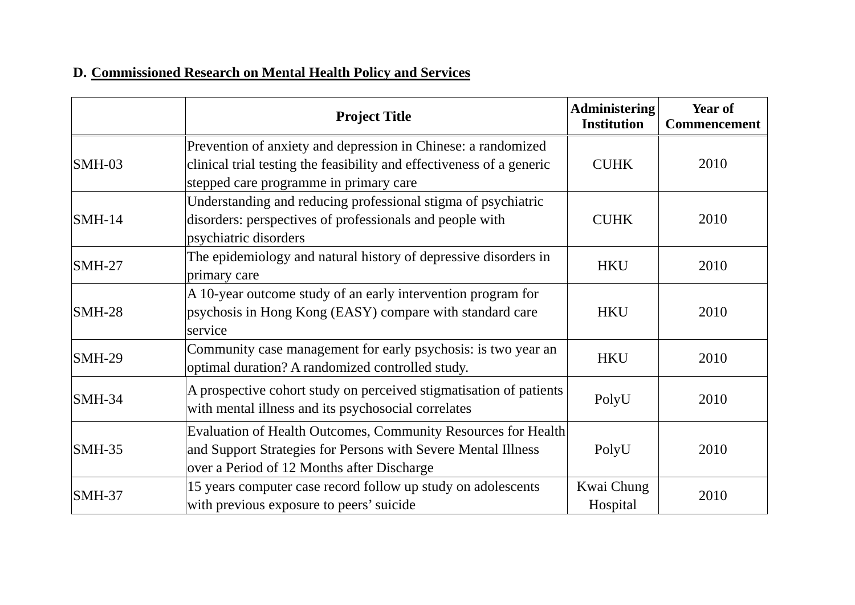## **D. Commissioned Research on Mental Health Policy and Services**

|               | <b>Project Title</b>                                                                                                                                                             | <b>Administering</b><br><b>Institution</b> | Year of<br><b>Commencement</b> |
|---------------|----------------------------------------------------------------------------------------------------------------------------------------------------------------------------------|--------------------------------------------|--------------------------------|
| $SMH-03$      | Prevention of anxiety and depression in Chinese: a randomized<br>clinical trial testing the feasibility and effectiveness of a generic<br>stepped care programme in primary care | <b>CUHK</b>                                | 2010                           |
| $SMH-14$      | Understanding and reducing professional stigma of psychiatric<br>disorders: perspectives of professionals and people with<br>psychiatric disorders                               | <b>CUHK</b>                                | 2010                           |
| $SMH-27$      | The epidemiology and natural history of depressive disorders in<br>primary care                                                                                                  | <b>HKU</b>                                 | 2010                           |
| $SMH-28$      | A 10-year outcome study of an early intervention program for<br>psychosis in Hong Kong (EASY) compare with standard care<br>service                                              | <b>HKU</b>                                 | 2010                           |
| <b>SMH-29</b> | Community case management for early psychosis: is two year an<br>optimal duration? A randomized controlled study.                                                                | <b>HKU</b>                                 | 2010                           |
| $SMH-34$      | A prospective cohort study on perceived stigmatisation of patients<br>with mental illness and its psychosocial correlates                                                        | PolyU                                      | 2010                           |
| $SMH-35$      | Evaluation of Health Outcomes, Community Resources for Health<br>and Support Strategies for Persons with Severe Mental Illness<br>over a Period of 12 Months after Discharge     | PolyU                                      | 2010                           |
| <b>SMH-37</b> | 15 years computer case record follow up study on adolescents<br>with previous exposure to peers' suicide                                                                         | Kwai Chung<br>Hospital                     | 2010                           |